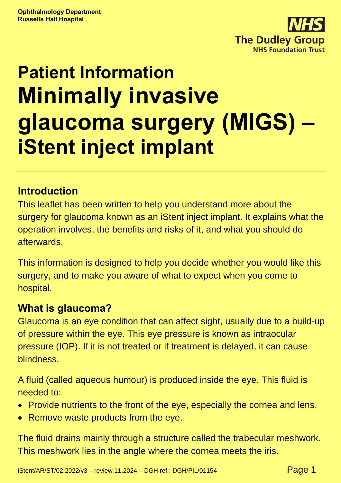

# **Patient Information Minimally invasive glaucoma surgery (MIGS) – iStent inject implant**

#### **Introduction**

This leaflet has been written to help you understand more about the surgery for glaucoma known as an iStent inject implant. It explains what the operation involves, the benefits and risks of it, and what you should do afterwards.

This information is designed to help you decide whether you would like this surgery, and to make you aware of what to expect when you come to hospital.

## **What is glaucoma?**

Glaucoma is an eye condition that can affect sight, usually due to a build-up of pressure within the eye. This eye pressure is known as intraocular pressure (IOP). If it is not treated or if treatment is delayed, it can cause blindness.

A fluid (called aqueous humour) is produced inside the eye. This fluid is needed to:

- Provide nutrients to the front of the eye, especially the cornea and lens.
- Remove waste products from the eye.

The fluid drains mainly through a structure called the trabecular meshwork. This meshwork lies in the angle where the cornea meets the iris.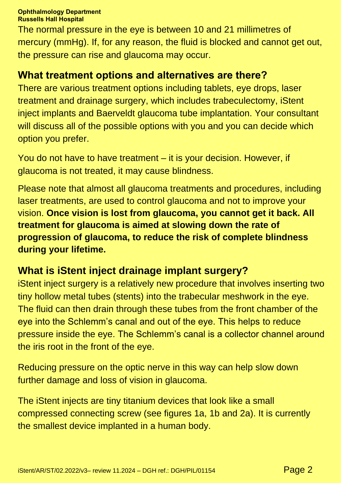The normal pressure in the eye is between 10 and 21 millimetres of mercury (mmHg). If, for any reason, the fluid is blocked and cannot get out, the pressure can rise and glaucoma may occur.

#### **What treatment options and alternatives are there?**

There are various treatment options including tablets, eye drops, laser treatment and drainage surgery, which includes trabeculectomy, iStent inject implants and Baerveldt glaucoma tube implantation. Your consultant will discuss all of the possible options with you and you can decide which option you prefer.

You do not have to have treatment – it is your decision. However, if glaucoma is not treated, it may cause blindness.

Please note that almost all glaucoma treatments and procedures, including laser treatments, are used to control glaucoma and not to improve your vision. **Once vision is lost from glaucoma, you cannot get it back. All treatment for glaucoma is aimed at slowing down the rate of progression of glaucoma, to reduce the risk of complete blindness during your lifetime.**

#### **What is iStent inject drainage implant surgery?**

iStent inject surgery is a relatively new procedure that involves inserting two tiny hollow metal tubes (stents) into the trabecular meshwork in the eye. The fluid can then drain through these tubes from the front chamber of the eye into the Schlemm's canal and out of the eye. This helps to reduce pressure inside the eye. The Schlemm's canal is a collector channel around the iris root in the front of the eye.

Reducing pressure on the optic nerve in this way can help slow down further damage and loss of vision in glaucoma.

The iStent injects are tiny titanium devices that look like a small compressed connecting screw (see figures 1a, 1b and 2a). It is currently the smallest device implanted in a human body.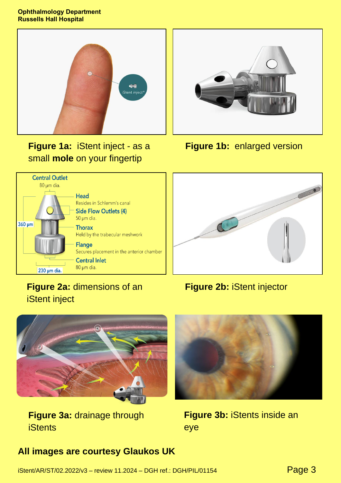

**Figure 1a:** iStent inject - as a small **mole** on your fingertip



**Figure 1b:** enlarged version



## **Figure 2b:** iStent injector



iStent inject

**Figure 3a:** drainage through **iStents** 



**Figure 3b:** iStents inside an eye

#### **All images are courtesy Glaukos UK**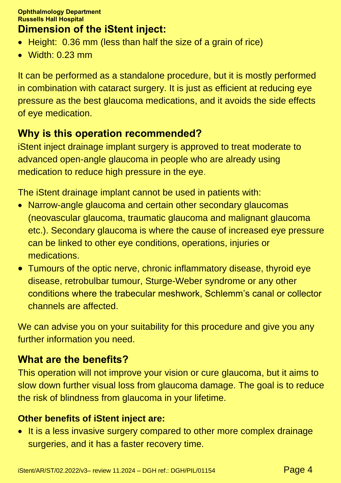# **Dimension of the iStent inject:**

- Height: 0.36 mm (less than half the size of a grain of rice)
- Width: 0.23 mm

It can be performed as a standalone procedure, but it is mostly performed in combination with cataract surgery. It is just as efficient at reducing eye pressure as the best glaucoma medications, and it avoids the side effects of eye medication.

# **Why is this operation recommended?**

iStent inject drainage implant surgery is approved to treat moderate to advanced open-angle glaucoma in people who are already using medication to reduce high pressure in the eye.

The iStent drainage implant cannot be used in patients with:

- Narrow-angle glaucoma and certain other secondary glaucomas (neovascular glaucoma, traumatic glaucoma and malignant glaucoma etc.). Secondary glaucoma is where the cause of increased eye pressure can be linked to other eye conditions, operations, injuries or medications.
- Tumours of the optic nerve, chronic inflammatory disease, thyroid eye disease, retrobulbar tumour, Sturge-Weber syndrome or any other conditions where the trabecular meshwork, Schlemm's canal or collector channels are affected.

We can advise you on your suitability for this procedure and give you any further information you need.

# **What are the benefits?**

This operation will not improve your vision or cure glaucoma, but it aims to slow down further visual loss from glaucoma damage. The goal is to reduce the risk of blindness from glaucoma in your lifetime.

#### **Other benefits of iStent inject are:**

• It is a less invasive surgery compared to other more complex drainage surgeries, and it has a faster recovery time.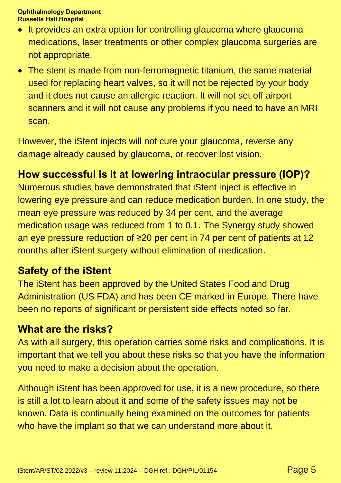- It provides an extra option for controlling glaucoma where glaucoma medications, laser treatments or other complex glaucoma surgeries are not appropriate.
- The stent is made from non-ferromagnetic titanium, the same material used for replacing heart valves, so it will not be rejected by your body and it does not cause an allergic reaction. It will not set off airport scanners and it will not cause any problems if you need to have an MRI scan.

However, the iStent injects will not cure your glaucoma, reverse any damage already caused by glaucoma, or recover lost vision.

## **How successful is it at lowering intraocular pressure (IOP)?**

Numerous studies have demonstrated that iStent inject is effective in lowering eye pressure and can reduce medication burden. In one study, the mean eye pressure was reduced by 34 per cent, and the average medication usage was reduced from 1 to 0.1. The Synergy study showed an eye pressure reduction of ≥20 per cent in 74 per cent of patients at 12 months after iStent surgery without elimination of medication.

#### **Safety of the iStent**

The iStent has been approved by the United States Food and Drug Administration (US FDA) and has been CE marked in Europe. There have been no reports of significant or persistent side effects noted so far.

#### **What are the risks?**

As with all surgery, this operation carries some risks and complications. It is important that we tell you about these risks so that you have the information you need to make a decision about the operation.

Although iStent has been approved for use, it is a new procedure, so there is still a lot to learn about it and some of the safety issues may not be known. Data is continually being examined on the outcomes for patients who have the implant so that we can understand more about it.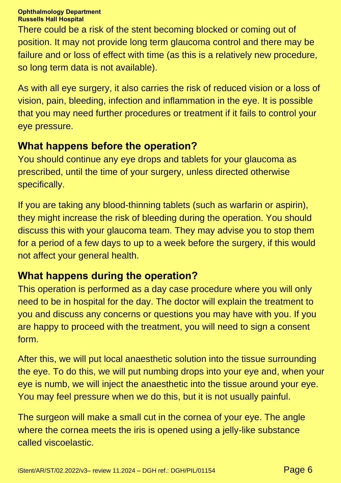There could be a risk of the stent becoming blocked or coming out of position. It may not provide long term glaucoma control and there may be failure and or loss of effect with time (as this is a relatively new procedure, so long term data is not available).

As with all eye surgery, it also carries the risk of reduced vision or a loss of vision, pain, bleeding, infection and inflammation in the eye. It is possible that you may need further procedures or treatment if it fails to control your eye pressure.

## **What happens before the operation?**

You should continue any eye drops and tablets for your glaucoma as prescribed, until the time of your surgery, unless directed otherwise specifically.

If you are taking any blood-thinning tablets (such as warfarin or aspirin), they might increase the risk of bleeding during the operation. You should discuss this with your glaucoma team. They may advise you to stop them for a period of a few days to up to a week before the surgery, if this would not affect your general health.

## **What happens during the operation?**

This operation is performed as a day case procedure where you will only need to be in hospital for the day. The doctor will explain the treatment to you and discuss any concerns or questions you may have with you. If you are happy to proceed with the treatment, you will need to sign a consent form.

After this, we will put local anaesthetic solution into the tissue surrounding the eye. To do this, we will put numbing drops into your eye and, when your eye is numb, we will inject the anaesthetic into the tissue around your eye. You may feel pressure when we do this, but it is not usually painful.

The surgeon will make a small cut in the cornea of your eye. The angle where the cornea meets the iris is opened using a jelly-like substance called viscoelastic.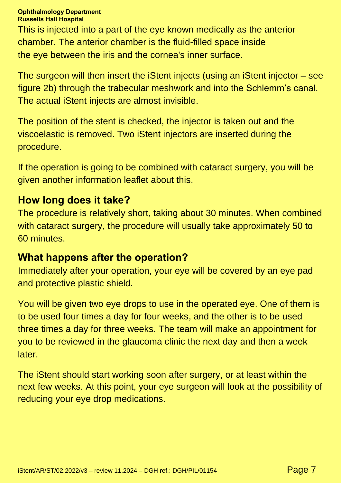#### **Ophthalmology Department**

**Russells Hall Hospital**

This is injected into a part of the eye known medically as the anterior chamber. The anterior chamber is the fluid-filled space inside the eye between the iris and the cornea's inner surface.

The surgeon will then insert the iStent injects (using an iStent injector – see figure 2b) through the trabecular meshwork and into the Schlemm's canal. The actual iStent injects are almost invisible.

The position of the stent is checked, the injector is taken out and the viscoelastic is removed. Two iStent injectors are inserted during the procedure.

If the operation is going to be combined with cataract surgery, you will be given another information leaflet about this.

#### **How long does it take?**

The procedure is relatively short, taking about 30 minutes. When combined with cataract surgery, the procedure will usually take approximately 50 to 60 minutes.

#### **What happens after the operation?**

Immediately after your operation, your eye will be covered by an eye pad and protective plastic shield.

You will be given two eye drops to use in the operated eye. One of them is to be used four times a day for four weeks, and the other is to be used three times a day for three weeks. The team will make an appointment for you to be reviewed in the glaucoma clinic the next day and then a week later.

The iStent should start working soon after surgery, or at least within the next few weeks. At this point, your eye surgeon will look at the possibility of reducing your eye drop medications.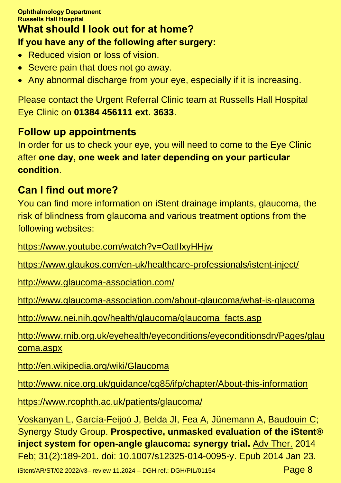#### **What should I look out for at home? If you have any of the following after surgery:**

- Reduced vision or loss of vision.
- Severe pain that does not go away.
- Any abnormal discharge from your eye, especially if it is increasing.

Please contact the Urgent Referral Clinic team at Russells Hall Hospital Eye Clinic on **01384 456111 ext. 3633**.

#### **Follow up appointments**

In order for us to check your eye, you will need to come to the Eye Clinic after **one day, one week and later depending on your particular condition**.

#### **Can I find out more?**

You can find more information on iStent drainage implants, glaucoma, the risk of blindness from glaucoma and various treatment options from the following websites:

<https://www.youtube.com/watch?v=OatIIxyHHjw>

<https://www.glaukos.com/en-uk/healthcare-professionals/istent-inject/>

<http://www.glaucoma-association.com/>

<http://www.glaucoma-association.com/about-glaucoma/what-is-glaucoma>

[http://www.nei.nih.gov/health/glaucoma/glaucoma\\_facts.asp](http://www.nei.nih.gov/health/glaucoma/glaucoma_facts.asp)

[http://www.rnib.org.uk/eyehealth/eyeconditions/eyeconditionsdn/Pages/glau](http://www.rnib.org.uk/eyehealth/eyeconditions/eyeconditionsdn/Pages/glaucoma.aspx) [coma.aspx](http://www.rnib.org.uk/eyehealth/eyeconditions/eyeconditionsdn/Pages/glaucoma.aspx)

<http://en.wikipedia.org/wiki/Glaucoma>

<http://www.nice.org.uk/guidance/cg85/ifp/chapter/About-this-information>

<https://www.rcophth.ac.uk/patients/glaucoma/>

[Voskanyan L,](https://www.ncbi.nlm.nih.gov/pubmed/?term=Voskanyan%20L%5BAuthor%5D&cauthor=true&cauthor_uid=24452726) [García-Feijoó J,](https://www.ncbi.nlm.nih.gov/pubmed/?term=Garc%C3%ADa-Feijo%C3%B3%20J%5BAuthor%5D&cauthor=true&cauthor_uid=24452726) [Belda JI,](https://www.ncbi.nlm.nih.gov/pubmed/?term=Belda%20JI%5BAuthor%5D&cauthor=true&cauthor_uid=24452726) [Fea A,](https://www.ncbi.nlm.nih.gov/pubmed/?term=Fea%20A%5BAuthor%5D&cauthor=true&cauthor_uid=24452726) [Jünemann A,](https://www.ncbi.nlm.nih.gov/pubmed/?term=J%C3%BCnemann%20A%5BAuthor%5D&cauthor=true&cauthor_uid=24452726) [Baudouin C;](https://www.ncbi.nlm.nih.gov/pubmed/?term=Baudouin%20C%5BAuthor%5D&cauthor=true&cauthor_uid=24452726) [Synergy Study Group.](https://www.ncbi.nlm.nih.gov/pubmed/?term=Synergy%20Study%20Group%5BCorporate%20Author%5D) **Prospective, unmasked evaluation of the iStent® inject system for open-angle glaucoma: synergy trial.** [Adv Ther.](https://www.ncbi.nlm.nih.gov/pubmed/24452726) 2014 Feb; 31(2):189-201. doi: 10.1007/s12325-014-0095-y. Epub 2014 Jan 23.

iStent/AR/ST/02.2022/v3- review 11.2024 - DGH ref.: DGH/PIL/01154  $Page 8$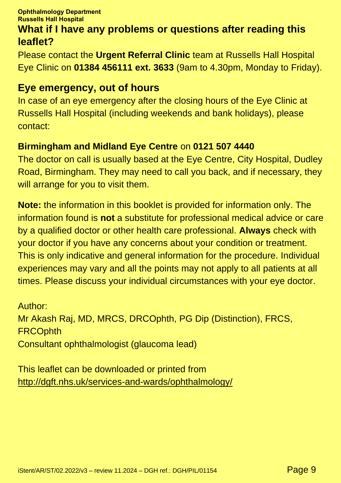#### **What if I have any problems or questions after reading this leaflet?**

Please contact the **Urgent Referral Clinic** team at Russells Hall Hospital Eye Clinic on **01384 456111 ext. 3633** (9am to 4.30pm, Monday to Friday).

#### **Eye emergency, out of hours**

In case of an eye emergency after the closing hours of the Eye Clinic at Russells Hall Hospital (including weekends and bank holidays), please contact:

#### **Birmingham and Midland Eye Centre** on **0121 507 4440**

The doctor on call is usually based at the Eye Centre, City Hospital, Dudley Road, Birmingham. They may need to call you back, and if necessary, they will arrange for you to visit them.

**Note:** the information in this booklet is provided for information only. The information found is **not** a substitute for professional medical advice or care by a qualified doctor or other health care professional. **Always** check with your doctor if you have any concerns about your condition or treatment. This is only indicative and general information for the procedure. Individual experiences may vary and all the points may not apply to all patients at all times. Please discuss your individual circumstances with your eye doctor.

Author: Mr Akash Raj, MD, MRCS, DRCOphth, PG Dip (Distinction), FRCS, **FRCOphth** Consultant ophthalmologist (glaucoma lead)

This leaflet can be downloaded or printed from <http://dgft.nhs.uk/services-and-wards/ophthalmology/>